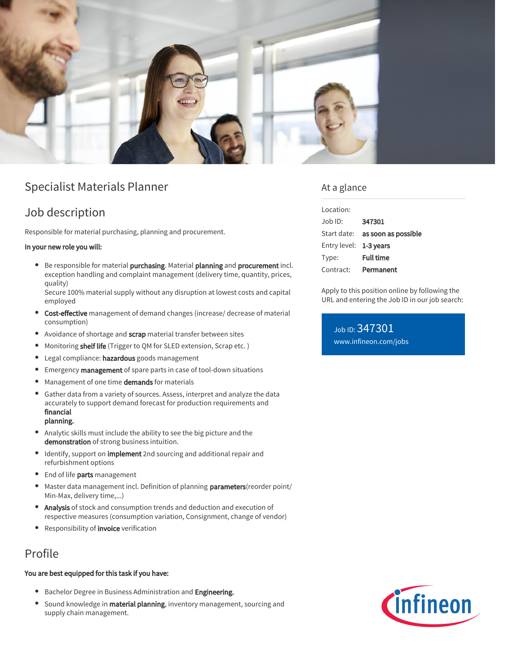

## Specialist Materials Planner

## Job description

Responsible for material purchasing, planning and procurement.

### In your new role you will:

Be responsible for material purchasing. Material planning and procurement incl. exception handling and complaint management (delivery time, quantity, prices, quality)

Secure 100% material supply without any disruption at lowest costs and capital employed

- Cost-effective management of demand changes (increase/ decrease of material consumption)
- Avoidance of shortage and scrap material transfer between sites
- $\bullet$ Monitoring shelf life (Trigger to QM for SLED extension, Scrap etc.)
- Legal compliance: hazardous goods management  $\bullet$
- Emergency management of spare parts in case of tool-down situations  $\bullet$
- $\bullet$ Management of one time demands for materials
- Gather data from a variety of sources. Assess, interpret and analyze the data accurately to support demand forecast for production requirements and financial planning.
- Analytic skills must include the ability to see the big picture and the  $\bullet$ demonstration of strong business intuition.
- $\bullet$ Identify, support on *implement* 2nd sourcing and additional repair and refurbishment options
- **End of life parts management**
- Master data management incl. Definition of planning **parameters** (reorder point/  $\bullet$ Min-Max, delivery time,...)
- Analysis of stock and consumption trends and deduction and execution of respective measures (consumption variation, Consignment, change of vendor)
- Responsibility of *invoice* verification

# Profile

### You are best equipped for this task if you have:

- **•** Bachelor Degree in Business Administration and Engineering.
- Sound knowledge in material planning, inventory management, sourcing and supply chain management.

### At a glance

| Location:              |                                        |
|------------------------|----------------------------------------|
| Job ID:                | 347301                                 |
|                        | Start date: <b>as soon as possible</b> |
| Entry level: 1-3 years |                                        |
| Type:                  | <b>Full time</b>                       |
| Contract:              | Permanent                              |

Apply to this position online by following the URL and entering the Job ID in our job search:

Job ID: 347301 [www.infineon.com/jobs](https://www.infineon.com/jobs)